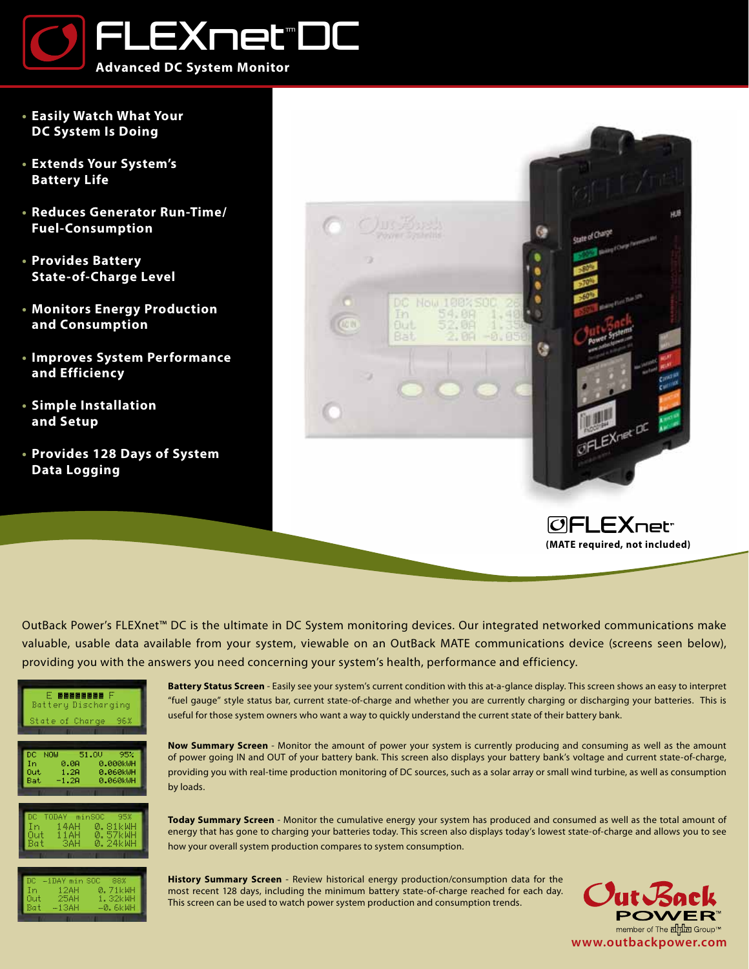

- **• Easily Watch What Your DC System Is Doing**
- **• Extends Your System's Battery Life**
- **• Reduces Generator Run-Time/ Fuel-Consumption**
- **• Provides Battery State-of-Charge Level**
- **• Monitors Energy Production and Consumption**
- **• Improves System Performance and Efficiency**
- **• Simple Installation and Setup**
- **• Provides 128 Days of System Data Logging**



**OFLEX**net<sup>-</sup> **(MATE required, not included)**

OutBack Power's FLEXnet™ DC is the ultimate in DC System monitoring devices. Our integrated networked communications make valuable, usable data available from your system, viewable on an OutBack MATE communications device (screens seen below), providing you with the answers you need concerning your system's health, performance and efficiency.

| F REEBREEK F<br>Battery Discharging |                                                           |  |  |
|-------------------------------------|-----------------------------------------------------------|--|--|
|                                     | State of Charge 96%                                       |  |  |
|                                     |                                                           |  |  |
|                                     | DC NOW 51.0V 95%<br>In 0.0A 0.000kWH<br>Out 1.2A 0.060kWH |  |  |
|                                     | Bat -1.2A 0.060kWH                                        |  |  |
|                                     |                                                           |  |  |
|                                     | DC TODAY minSOC 95%<br>In 14AH 0.81kWH                    |  |  |
|                                     | Out 11AH 0.57kWH<br>Bat 3AH 0.24kWH                       |  |  |
|                                     |                                                           |  |  |
| Tm.                                 | DC -1DAY min SOC 88%<br>— 1:2 АН - Й.: 7:1 Ы.ЫН           |  |  |

**Battery Status Screen** - Easily see your system's current condition with this at-a-glance display. This screen shows an easy to interpret "fuel gauge" style status bar, current state-of-charge and whether you are currently charging or discharging your batteries. This is useful for those system owners who want a way to quickly understand the current state of their battery bank.

**Now Summary Screen** - Monitor the amount of power your system is currently producing and consuming as well as the amount of power going IN and OUT of your battery bank. This screen also displays your battery bank's voltage and current state-of-charge, providing you with real-time production monitoring of DC sources, such as a solar array or small wind turbine, as well as consumption by loads.

**Today Summary Screen** - Monitor the cumulative energy your system has produced and consumed as well as the total amount of energy that has gone to charging your batteries today. This screen also displays today's lowest state-of-charge and allows you to see how your overall system production compares to system consumption.

In 12AH 0.71kWH Uut 25AH 1.32kWH<br>Bat –13AH –<mark>0.</mark>6kWH

**History Summary Screen** - Review historical energy production/consumption data for the most recent 128 days, including the minimum battery state-of-charge reached for each day. This screen can be used to watch power system production and consumption trends.